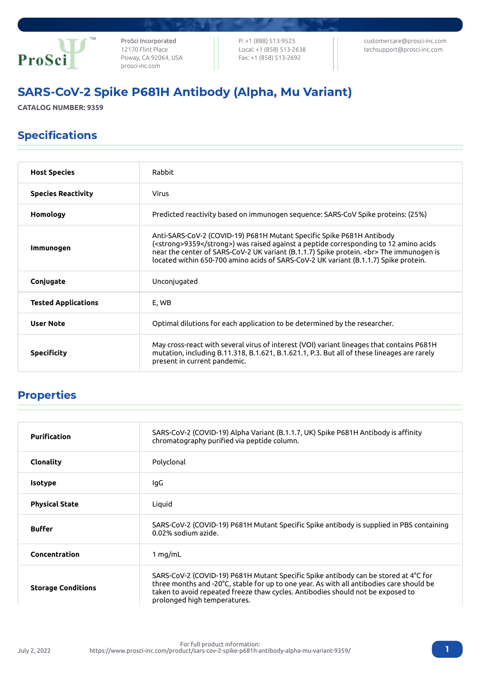

ProSci Incorporated 12170 Flint Place Poway, CA 92064, USA [prosci-inc.com](https://prosci-inc.com/)

P: +1 (888) 513-9525 Local: +1 (858) 513-2638 Fax: +1 (858) 513-2692

[customercare@prosci-inc.com](mailto:customercare@prosci-inc.com) [techsupport@prosci-inc.com](mailto:techsupport@prosci-inc.com)

# SARS-CoV-2 Spike P681H Antibody (Alpha, Mu Variant)

**CATALOG NUMBER: 9359**

### Specifications

| <b>Host Species</b>        | Rabbit                                                                                                                                                                                                                                                                                                                                           |
|----------------------------|--------------------------------------------------------------------------------------------------------------------------------------------------------------------------------------------------------------------------------------------------------------------------------------------------------------------------------------------------|
| <b>Species Reactivity</b>  | Virus                                                                                                                                                                                                                                                                                                                                            |
| Homology                   | Predicted reactivity based on immunogen sequence: SARS-CoV Spike proteins: (25%)                                                                                                                                                                                                                                                                 |
| Immunogen                  | Anti-SARS-CoV-2 (COVID-19) P681H Mutant Specific Spike P681H Antibody<br>( <strong>9359</strong> ) was raised against a peptide corresponding to 12 amino acids<br>near the center of SARS-CoV-2 UK variant (B.1.1.7) Spike protein.<br>The immunogen is<br>located within 650-700 amino acids of SARS-CoV-2 UK variant (B.1.1.7) Spike protein. |
| Conjugate                  | Unconjugated                                                                                                                                                                                                                                                                                                                                     |
| <b>Tested Applications</b> | E, WB                                                                                                                                                                                                                                                                                                                                            |
| <b>User Note</b>           | Optimal dilutions for each application to be determined by the researcher.                                                                                                                                                                                                                                                                       |
| <b>Specificity</b>         | May cross-react with several virus of interest (VOI) variant lineages that contains P681H<br>mutation, including B.11.318, B.1.621, B.1.621.1, P.3. But all of these lineages are rarely<br>present in current pandemic.                                                                                                                         |

# Properties

| <b>Purification</b>       | SARS-CoV-2 (COVID-19) Alpha Variant (B.1.1.7, UK) Spike P681H Antibody is affinity<br>chromatography purified via peptide column.                                                                                                                                                                  |
|---------------------------|----------------------------------------------------------------------------------------------------------------------------------------------------------------------------------------------------------------------------------------------------------------------------------------------------|
| <b>Clonality</b>          | Polyclonal                                                                                                                                                                                                                                                                                         |
| <b>Isotype</b>            | lgG                                                                                                                                                                                                                                                                                                |
| <b>Physical State</b>     | Liquid                                                                                                                                                                                                                                                                                             |
| <b>Buffer</b>             | SARS-CoV-2 (COVID-19) P681H Mutant Specific Spike antibody is supplied in PBS containing<br>0.02% sodium azide.                                                                                                                                                                                    |
| Concentration             | 1 mg/mL                                                                                                                                                                                                                                                                                            |
| <b>Storage Conditions</b> | SARS-CoV-2 (COVID-19) P681H Mutant Specific Spike antibody can be stored at 4°C for<br>three months and -20°C, stable for up to one year. As with all antibodies care should be<br>taken to avoid repeated freeze thaw cycles. Antibodies should not be exposed to<br>prolonged high temperatures. |